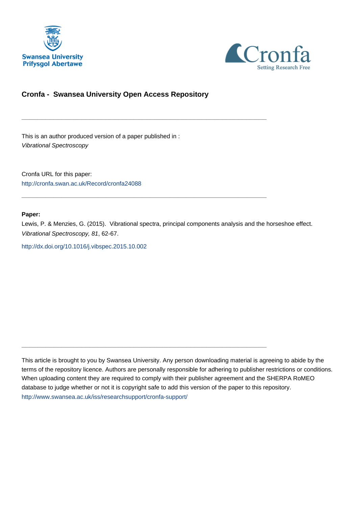



#### **Cronfa - Swansea University Open Access Repository**

\_\_\_\_\_\_\_\_\_\_\_\_\_\_\_\_\_\_\_\_\_\_\_\_\_\_\_\_\_\_\_\_\_\_\_\_\_\_\_\_\_\_\_\_\_\_\_\_\_\_\_\_\_\_\_\_\_\_\_\_\_

 $\_$  , and the set of the set of the set of the set of the set of the set of the set of the set of the set of the set of the set of the set of the set of the set of the set of the set of the set of the set of the set of th

 $\_$  , and the set of the set of the set of the set of the set of the set of the set of the set of the set of the set of the set of the set of the set of the set of the set of the set of the set of the set of the set of th

This is an author produced version of a paper published in : Vibrational Spectroscopy

Cronfa URL for this paper: <http://cronfa.swan.ac.uk/Record/cronfa24088>

#### **Paper:**

Lewis, P. & Menzies, G. (2015). Vibrational spectra, principal components analysis and the horseshoe effect. Vibrational Spectroscopy, 81, 62-67.

<http://dx.doi.org/10.1016/j.vibspec.2015.10.002>

This article is brought to you by Swansea University. Any person downloading material is agreeing to abide by the terms of the repository licence. Authors are personally responsible for adhering to publisher restrictions or conditions. When uploading content they are required to comply with their publisher agreement and the SHERPA RoMEO database to judge whether or not it is copyright safe to add this version of the paper to this repository. [http://www.swansea.ac.uk/iss/researchsupport/cronfa-support/](http://www.swansea.ac.uk/iss/researchsupport/cronfa-support/ )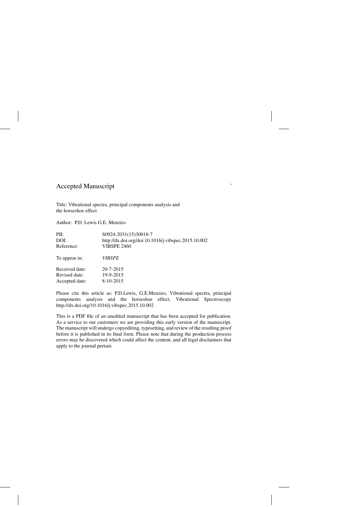### Accepted Manuscript

Title: Vibrational spectra, principal components analysis and the horseshoe effect

Author: P.D. Lewis G.E. Menzies

| PII:           | S0924-2031(15)30018-7                               |
|----------------|-----------------------------------------------------|
| DOI:           | http://dx.doi.org/doi:10.1016/j.vibspec.2015.10.002 |
| Reference:     | <b>VIBSPE 2460</b>                                  |
| To appear in:  | <b>VIBSPE</b>                                       |
| Received date: | $20 - 7 - 2015$                                     |
| Revised date:  | 19-9-2015                                           |
| Accepted date: | 8-10-2015                                           |
|                |                                                     |

Please cite this article as: P.D.Lewis, G.E.Menzies, Vibrational spectra, principal components analysis and the horseshoe effect, Vibrational Spectroscopy http://dx.doi.org/10.1016/j.vibspec.2015.10.002

This is a PDF file of an unedited manuscript that has been accepted for publication. As a service to our customers we are providing this early version of the manuscript. The manuscript will undergo copyediting, typesetting, and review of the resulting proof before it is published in its final form. Please note that during the production process errors may be discovered which could affect the content, and all legal disclaimers that apply to the journal pertain.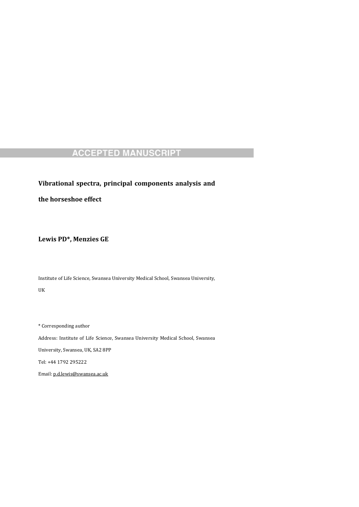**Vibrational spectra, principal components analysis and**

**the horseshoe effect**

**Lewis PD\*, Menzies GE**

Institute of Life Science, Swansea University Medical School, Swansea University,

UK 

 $^\ast$  Corresponding author

Address: Institute of Life Science, Swansea University Medical School, Swansea

University, Swansea, UK, SA2 8PP

Tel: +44 1792 295222 

Email: p.d.lewis@swansea.ac.uk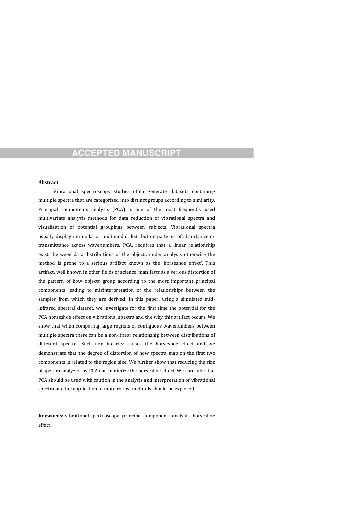#### **Abstract**

Vibrational spectroscopy studies often generate datasets containing multiple spectra that are categorized into distinct groups according to similarity. Principal components analysis (PCA) is one of the most frequently used multivariate analysis methods for data reduction of vibrational spectra and visualization of potential groupings between subjects. Vibrational spectra usually display unimodal or multimodal distribution patterns of absorbance or transmittance across wavenumbers. PCA, requires that a linear relationship exists between data distributions of the objects under analysis otherwise the method is prone to a serious artifact known as the 'horseshoe effect'. This artifact, well known in other fields of science, manifests as a serious distortion of the pattern of how objects group according to the most important principal components leading to misinterpretation of the relationships between the samples from which they are derived. In this paper, using a simulated midinfrared spectral dataset, we investigate for the first time the potential for the PCA horseshoe effect on vibrational spectra and the why this artifact occurs. We show that when comparing large regions of contiguous wavenumbers between multiple spectra there can be a non-linear relationship between distributions of different spectra. Such non-linearity causes the horseshoe effect and we demonstrate that the degree of distortion of how spectra map on the first two components is related to the region size. We further show that reducing the size of spectra analyzed by PCA can minimize the horseshoe effect. We conclude that PCA should be used with caution in the analysis and interpretation of vibrational

#### spectra and the application of more robust methods should be explored.

**Keywords:** vibrational spectroscopy; principal components analysis; horseshoe effect.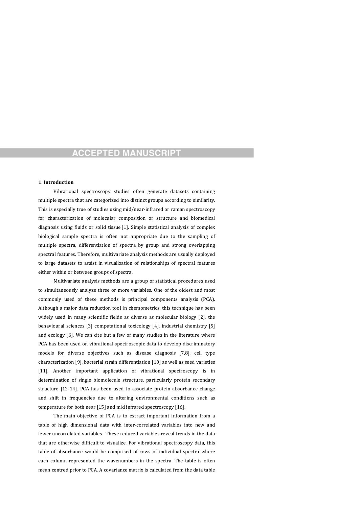#### **1. Introduction**

Vibrational spectroscopy studies often generate datasets containing multiple spectra that are categorized into distinct groups according to similarity. This is especially true of studies using mid/near-infrared or raman spectroscopy for characterization of molecular composition or structure and biomedical diagnosis using fluids or solid tissue [1]. Simple statistical analysis of complex biological sample spectra is often not appropriate due to the sampling of multiple spectra, differentiation of spectra by group and strong overlapping spectral features. Therefore, multivariate analysis methods are usually deployed to large datasets to assist in visualization of relationships of spectral features either within or between groups of spectra.

Multivariate analysis methods are a group of statistical procedures used to simultaneously analyze three or more variables. One of the oldest and most commonly used of these methods is principal components analysis (PCA). Although a major data reduction tool in chemometrics, this technique has been widely used in many scientific fields as diverse as molecular biology [2], the behavioural sciences [3] computational toxicology [4], industrial chemistry [5] and ecology [6]. We can cite but a few of many studies in the literature where PCA has been used on vibrational spectroscopic data to develop discriminatory models for diverse objectives such as disease diagnosis [7,8], cell type characterization  $[9]$ , bacterial strain differentiation  $[10]$  as well as seed varieties [11]. Another important application of vibrational spectroscopy is in determination of single biomolecule structure, particularly protein secondary

structure [12-14]. PCA has been used to associate protein absorbance change and shift in frequencies due to altering environmental conditions such as temperature for both near  $[15]$  and mid infrared spectroscopy  $[16]$ .

The main objective of PCA is to extract important information from a table of high dimensional data with inter-correlated variables into new and fewer uncorrelated variables. These reduced variables reveal trends in the data that are otherwise difficult to visualize. For vibrational spectroscopy data, this table of absorbance would be comprised of rows of individual spectra where each column represented the wavenumbers in the spectra. The table is often mean centred prior to PCA. A covariance matrix is calculated from the data table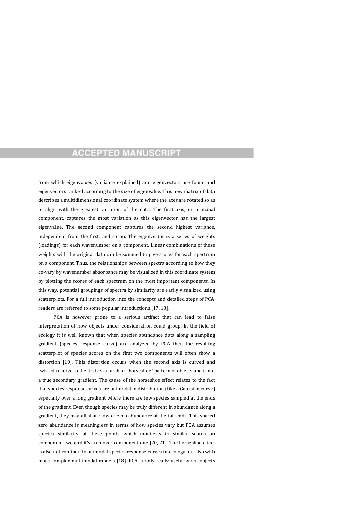from which eigenvalues (variance explained) and eigenvectors are found and eigenvectors ranked according to the size of eigenvalue. This new matrix of data describes a multidimensional coordinate system where the axes are rotated so as to align with the greatest variation of the data. The first axis, or principal component, captures the most variation as this eigenvector has the largest eigenvalue. The second component captures the second highest variance, independent from the first, and so on. The eigenvector is a series of weights (loadings) for each wavenumber on a component. Linear combinations of these weights with the original data can be summed to give scores for each spectrum on a component. Thus, the relationships between spectra according to how they co-vary by wavenumber absorbance may be visualized in this coordinate system by plotting the scores of each spectrum on the most important components. In this way, potential groupings of spectra by similarity are easily visualized using scatterplots. For a full introduction into the concepts and detailed steps of PCA, readers are referred to some popular introductions [17, 18].

PCA is however prone to a serious artifact that can lead to false interpretation of how objects under consideration could group. In the field of ecology it is well known that when species abundance data along a sampling gradient (species response curve) are analyzed by PCA then the resulting scatterplot of species scores on the first two components will often show a distortion [19]. This distortion occurs when the second axis is curved and twisted relative to the first as an arch or "horseshoe" pattern of objects and is not a true secondary gradient. The cause of the horseshoe effect relates to the fact

that species response curves are unimodal in distribution (like a Gaussian curve) especially over a long gradient where there are few species sampled at the ends of the gradient. Even though species may be truly different in abundance along a gradient, they may all share low or zero abundance at the tail ends. This shared zero abundance is meaningless in terms of how species vary but PCA assumes species similarity at these points which manifests in similar scores on component two and it's arch over component one [20, 21]. The horseshoe effect is also not confined to unimodal species response curves in ecology but also with more complex multimodal models [18]. PCA is only really useful when objects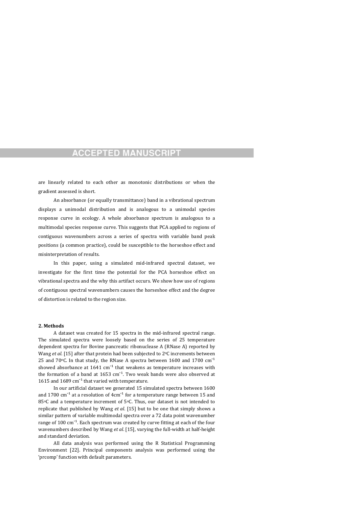are linearly related to each other as monotonic distributions or when the gradient assessed is short.

An absorbance (or equally transmittance) band in a vibrational spectrum displays a unimodal distribution and is analogous to a unimodal species response curve in ecology. A whole absorbance spectrum is analogous to a multimodal species response curve. This suggests that PCA applied to regions of contiguous wavenumbers across a series of spectra with variable band peak positions (a common practice), could be susceptible to the horseshoe effect and misinterpretation of results.

In this paper, using a simulated mid-infrared spectral dataset, we investigate for the first time the potential for the PCA horseshoe effect on vibrational spectra and the why this artifact occurs. We show how use of regions of contiguous spectral wavenumbers causes the horseshoe effect and the degree of distortion is related to the region size.

#### **2. Methods**

A dataset was created for 15 spectra in the mid-infrared spectral range. The simulated spectra were loosely based on the series of 25 temperature dependent spectra for Bovine pancreatic ribonuclease A (RNase A) reported by Wang *et al.* [15] after that protein had been subjected to 2°C increments between 25 and  $70^{\circ}$ C. In that study, the RNase A spectra between 1600 and 1700  $cm^{-1}$ showed absorbance at  $1641 \text{ cm}^{-1}$  that weakens as temperature increases with the formation of a band at  $1653 \text{ cm}^{-1}$ . Two weak bands were also observed at 1615 and  $1689 \text{ cm}^{-1}$  that varied with temperature. In our artificial dataset we generated 15 simulated spectra between 1600 and 1700  $\text{cm}^{-1}$  at a resolution of 4 $\text{cm}^{-1}$  for a temperature range between 15 and 85 $\degree$ C and a temperature increment of 5 $\degree$ C. Thus, our dataset is not intended to replicate that published by Wang *et al*. [15] but to be one that simply shows a similar pattern of variable multimodal spectra over a 72 data point wavenumber range of  $100 \text{ cm}^{-1}$ . Each spectrum was created by curve fitting at each of the four wavenumbers described by Wang *et al.* [15], varying the full-width at half-height and standard deviation.

All data analysis was performed using the R Statistical Programming Environment [22]. Principal components analysis was performed using the 'prcomp' function with default parameters.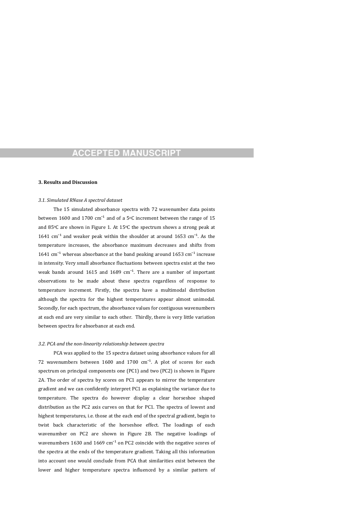#### **3. Results and Discussion**

#### *3.1. Simulated RNase A spectral dataset*

The 15 simulated absorbance spectra with 72 wavenumber data points between 1600 and 1700  $cm^{-1}$  and of a 5°C increment between the range of 15 and  $85\degree$ C are shown in Figure 1. At  $15\degree$ C the spectrum shows a strong peak at 1641  $\text{cm}^{-1}$  and weaker peak within the shoulder at around 1653  $\text{cm}^{-1}$ . As the temperature increases, the absorbance maximum decreases and shifts from 1641  $\text{cm}^{-1}$  whereas absorbance at the band peaking around 1653  $\text{cm}^{-1}$  increase in intensity. Very small absorbance fluctuations between spectra exist at the two weak bands around  $1615$  and  $1689$   $cm<sup>-1</sup>$ . There are a number of important observations to be made about these spectra regardless of response to temperature increment. Firstly, the spectra have a multimodal distribution although the spectra for the highest temperatures appear almost unimodal. Secondly, for each spectrum, the absorbance values for contiguous wavenumbers at each end are very similar to each other. Thirdly, there is very little variation between spectra for absorbance at each end.

#### *3.2. PCA and the non‐linearity relationship between spectra*

PCA was applied to the 15 spectra dataset using absorbance values for all 72 wavenumbers between  $1600$  and  $1700$   $cm^{-1}$ . A plot of scores for each spectrum on principal components one (PC1) and two (PC2) is shown in Figure 2A. The order of spectra by scores on PC1 appears to mirror the temperature

gradient and we can confidently interpret PC1 as explaining the variance due to temperature. The spectra do however display a clear horseshoe shaped distribution as the PC2 axis curves on that for PC1. The spectra of lowest and highest temperatures, i.e. those at the each end of the spectral gradient, begin to twist back characteristic of the horseshoe effect. The loadings of each wavenumber on PC2 are shown in Figure 2B. The negative loadings of wavenumbers  $1630$  and  $1669$  cm<sup>-1</sup> on PC2 coincide with the negative scores of the spectra at the ends of the temperature gradient. Taking all this information into account one would conclude from PCA that similarities exist between the lower and higher temperature spectra influenced by a similar pattern of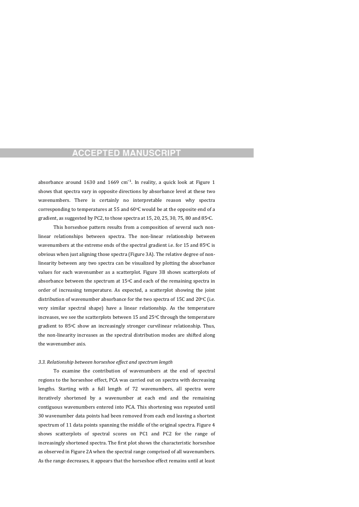absorbance around 1630 and 1669  $cm<sup>-1</sup>$ . In reality, a quick look at Figure 1 shows that spectra vary in opposite directions by absorbance level at these two wavenumbers. There is certainly no interpretable reason why spectra corresponding to temperatures at 55 and  $60^{\circ}$ C would be at the opposite end of a gradient, as suggested by PC2, to those spectra at 15, 20, 25, 30, 75, 80 and 85 $\degree$ C.

This horseshoe pattern results from a composition of several such nonlinear relationships between spectra. The non-linear relationship between wavenumbers at the extreme ends of the spectral gradient i.e. for 15 and 85 $\degree$ C is obvious when just aligning those spectra (Figure 3A). The relative degree of nonlinearity between any two spectra can be visualized by plotting the absorbance values for each wavenumber as a scatterplot. Figure 3B shows scatterplots of absorbance between the spectrum at  $15^{\circ}$ C and each of the remaining spectra in order of increasing temperature. As expected, a scatterplot showing the joint distribution of wavenumber absorbance for the two spectra of 15C and 20 $\degree$ C (i.e. very similar spectral shape) have a linear relationship. As the temperature increases, we see the scatterplots between 15 and  $25^{\circ}$ C through the temperature gradient to  $85°C$  show an increasingly stronger curvilinear relationship. Thus, the non-linearity increases as the spectral distribution modes are shifted along the wavenumber axis.

#### *3.3. Relationship between horseshoe effect and spectrum length*

To examine the contribution of wavenumbers at the end of spectral regions to the horseshoe effect, PCA was carried out on spectra with decreasing

lengths. Starting with a full length of 72 wavenumbers, all spectra were iteratively shortened by a wavenumber at each end and the remaining contiguous wavenumbers entered into PCA. This shortening was repeated until 30 wavenumber data points had been removed from each end leaving a shortest spectrum of 11 data points spanning the middle of the original spectra. Figure 4 shows scatterplots of spectral scores on PC1 and PC2 for the range of increasingly shortened spectra. The first plot shows the characteristic horseshoe as observed in Figure 2A when the spectral range comprised of all wavenumbers. As the range decreases, it appears that the horseshoe effect remains until at least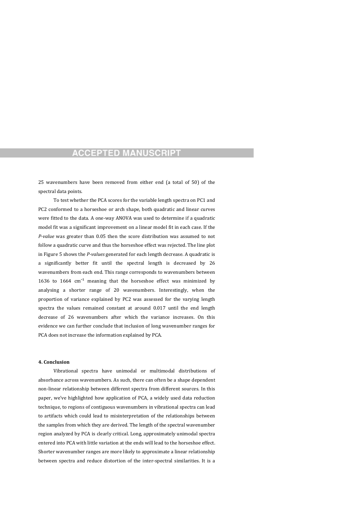25 wavenumbers have been removed from either end (a total of 50) of the spectral data points.

To test whether the PCA scores for the variable length spectra on PC1 and PC2 conformed to a horseshoe or arch shape, both quadratic and linear curves were fitted to the data. A one-way ANOVA was used to determine if a quadratic model fit was a significant improvement on a linear model fit in each case. If the *P*-value was greater than 0.05 then the score distribution was assumed to not follow a quadratic curve and thus the horseshoe effect was rejected. The line plot in Figure 5 shows the *P*-values generated for each length decrease. A quadratic is a significantly better fit until the spectral length is decreased by 26 wavenumbers from each end. This range corresponds to wavenumbers between 1636 to  $1664 \text{ cm}^{-1}$  meaning that the horseshoe effect was minimized by analysing a shorter range of 20 wavenumbers. Interestingly, when the proportion of variance explained by PC2 was assessed for the varying length spectra the values remained constant at around 0.017 until the end length decrease of 26 wavenumbers after which the variance increases. On this evidence we can further conclude that inclusion of long wavenumber ranges for PCA does not increase the information explained by PCA.

#### **4. Conclusion**

Vibrational spectra have unimodal or multimodal distributions of absorbance across wavenumbers. As such, there can often be a shape dependent

non-linear relationship between different spectra from different sources. In this paper, we've highlighted how application of PCA, a widely used data reduction technique, to regions of contiguous wavenumbers in vibrational spectra can lead to artifacts which could lead to misinterpretation of the relationships between the samples from which they are derived. The length of the spectral wavenumber region analyzed by PCA is clearly critical. Long, approximately unimodal spectra entered into PCA with little variation at the ends will lead to the horseshoe effect. Shorter wavenumber ranges are more likely to approximate a linear relationship between spectra and reduce distortion of the inter-spectral similarities. It is a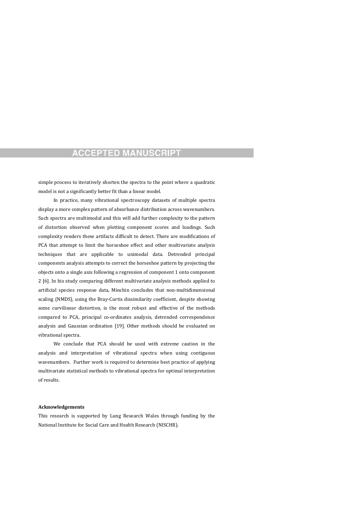simple process to iteratively shorten the spectra to the point where a quadratic model is not a significantly better fit than a linear model.

In practice, many vibrational spectroscopy datasets of multiple spectra display a more complex pattern of absorbance distribution across wavenumbers. Such spectra are multimodal and this will add further complexity to the pattern of distortion observed when plotting component scores and loadings. Such complexity renders these artifacts difficult to detect. There are modifications of PCA that attempt to limit the horseshoe effect and other multivariate analysis techniques that are applicable to unimodal data. Detrended principal components analysis attempts to correct the horseshoe pattern by projecting the objects onto a single axis following a regression of component 1 onto component 2 [6]. In his study comparing different multivariate analysis methods applied to artificial species response data, Minchin concludes that non-multidimensional scaling (NMDS), using the Bray-Curtis dissimilarity coefficient, despite showing some curvilinear distortion, is the most robust and effective of the methods compared to PCA, principal co-ordinates analysis, detrended correspondence analysis and Gaussian ordination [19]. Other methods should be evaluated on vibrational spectra.

We conclude that PCA should be used with extreme caution in the analysis and interpretation of vibrational spectra when using contiguous wavenumbers. Further work is required to determine best practice of applying multivariate statistical methods to vibrational spectra for optimal interpretation of results.

#### **Acknowledgements**

This research is supported by Lung Research Wales through funding by the National Institute for Social Care and Health Research (NISCHR).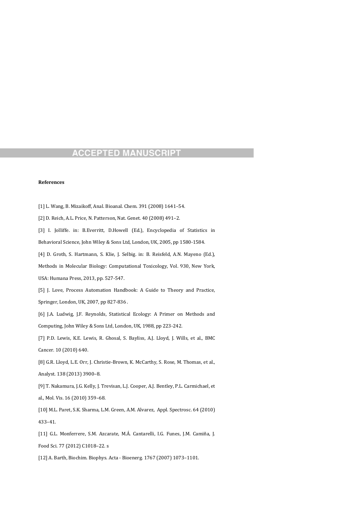#### **References**

- [1] L. Wang, B. Mizaikoff, Anal. Bioanal. Chem. 391 (2008) 1641-54.
- [2] D. Reich, A.L. Price, N. Patterson, Nat. Genet. 40 (2008) 491-2.
- [3] I. Jolliffe. in: B.Everritt, D.Howell (Ed.), Encyclopedia of Statistics in Behavioral Science, John Wiley & Sons Ltd, London, UK, 2005, pp 1580-1584.

[4] D. Groth, S. Hartmann, S. Klie, J. Selbig. in: B. Reisfeld, A.N. Mayeno (Ed.),

Methods in Molecular Biology: Computational Toxicology, Vol. 930, New York,

USA: Humana Press, 2013, pp. 527-547.

- [5] J. Love, Process Automation Handbook: A Guide to Theory and Practice, Springer, London, UK, 2007, pp 827-836.
- [6] J.A. Ludwig, J.F. Reynolds, Statistical Ecology: A Primer on Methods and Computing, John Wiley & Sons Ltd, London, UK, 1988, pp 223-242.
- [7] P.D. Lewis, K.E. Lewis, R. Ghosal, S. Bayliss, A.J. Lloyd, J. Wills, et al., BMC Cancer. 10 (2010) 640.
- [8] G.R. Lloyd, L.E. Orr, J. Christie-Brown, K. McCarthy, S. Rose, M. Thomas, et al.,
- Analyst. 138 (2013) 3900-8.

[9] T. Nakamura, J.G. Kelly, J. Trevisan, L.J. Cooper, A.J. Bentley, P.L. Carmichael, et

al., Mol. Vis. 16 (2010) 359-68.

[10] M.L. Paret, S.K. Sharma, L.M. Green, A.M. Alvarez, Appl. Spectrosc. 64 (2010)

433–41. 

[11] G.L. Monferrere, S.M. Azcarate, M.Á. Cantarelli, I.G. Funes, J.M. Camiña, J.

Food Sci. 77 (2012) C1018-22. s

[12] A. Barth, Biochim. Biophys. Acta - Bioenerg. 1767 (2007) 1073-1101.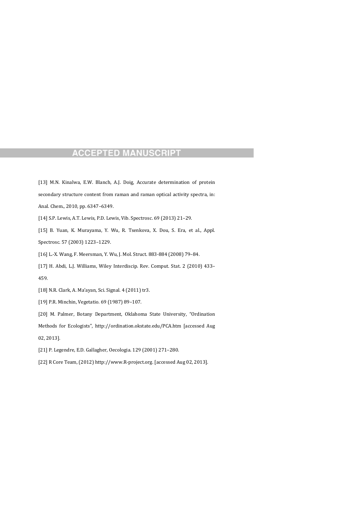[13] M.N. Kinalwa, E.W. Blanch, A.J. Doig, Accurate determination of protein secondary structure content from raman and raman optical activity spectra, in:

Anal. Chem., 2010, pp. 6347-6349.

[14] S.P. Lewis, A.T. Lewis, P.D. Lewis, Vib. Spectrosc. 69 (2013) 21-29.

[15] B. Yuan, K. Murayama, Y. Wu, R. Tsenkova, X. Dou, S. Era, et al., Appl. Spectrosc. 57 (2003) 1223-1229.

[16] L.-X. Wang, F. Meersman, Y. Wu, J. Mol. Struct. 883-884 (2008) 79-84.

[17] H. Abdi, L.J. Williams, Wiley Interdiscip. Rev. Comput. Stat. 2 (2010) 433-459. 

[18] N.R. Clark, A. Ma'ayan, Sci. Signal. 4 (2011) tr3.

[19] P.R. Minchin, Vegetatio. 69 (1987) 89-107.

[20] M. Palmer, Botany Department, Oklahoma State University, "Ordination

Methods for Ecologists", http://ordination.okstate.edu/PCA.htm [accessed Aug

02, 2013]. 

[21] P. Legendre, E.D. Gallagher, Oecologia. 129 (2001) 271-280.

[22] R Core Team, (2012) http://www.R-project.org. [accessed Aug 02, 2013].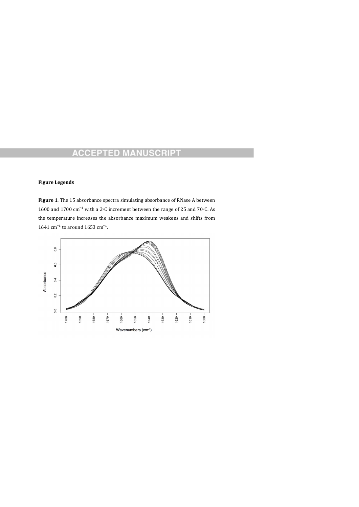#### **Figure Legends**

Figure 1. The 15 absorbance spectra simulating absorbance of RNase A between 1600 and 1700  $\text{cm}^{-1}$  with a 2<sup>o</sup>C increment between the range of 25 and 70<sup>o</sup>C. As the temperature increases the absorbance maximum weakens and shifts from 1641  $\text{cm}^{-1}$  to around 1653  $\text{cm}^{-1}$ .

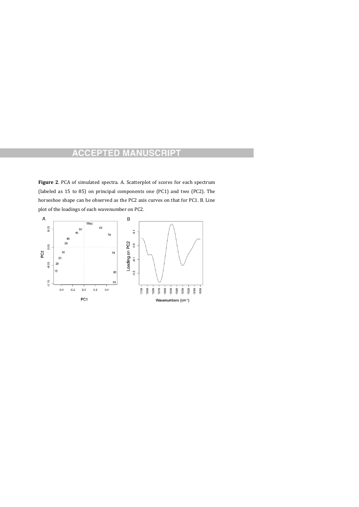Figure 2. PCA of simulated spectra. A. Scatterplot of scores for each spectrum (labeled as 15 to 85) on principal components one (PC1) and two (PC2). The horseshoe shape can be observed as the PC2 axis curves on that for PC1. B. Line plot of the loadings of each wavenumber on PC2.

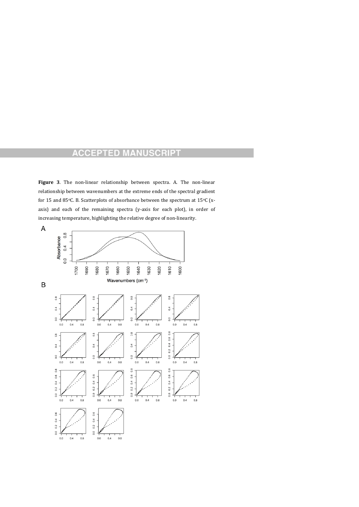Figure 3. The non-linear relationship between spectra. A. The non-linear relationship between wavenumbers at the extreme ends of the spectral gradient for 15 and 85 $\degree$ C. B. Scatterplots of absorbance between the spectrum at 15 $\degree$ C (xaxis) and each of the remaining spectra (y-axis for each plot), in order of increasing temperature, highlighting the relative degree of non-linearity.

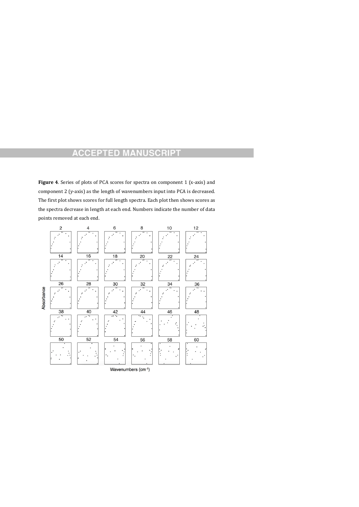**Figure 4**. Series of plots of PCA scores for spectra on component 1 (x-axis) and component 2 (y-axis) as the length of wavenumbers input into PCA is decreased. The first plot shows scores for full length spectra. Each plot then shows scores as the spectra decrease in length at each end. Numbers indicate the number of data points removed at each end.



Wavenumbers (cm-1)